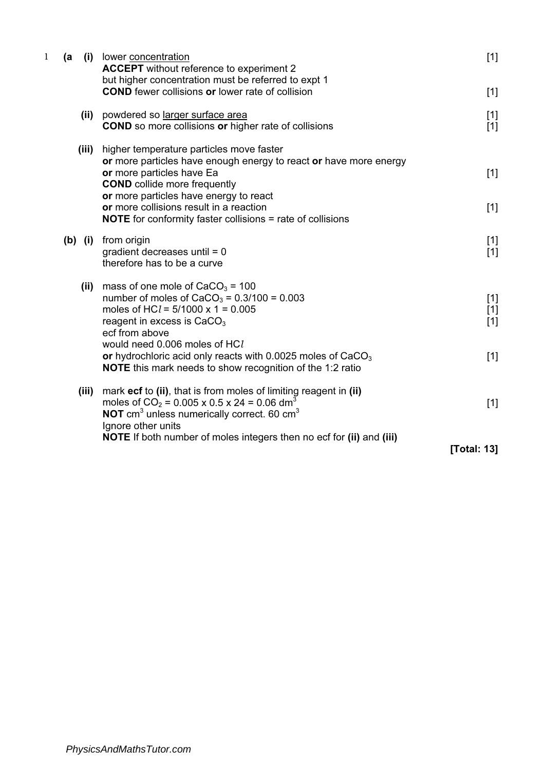| $\mathbf{1}$ | (a    | (i) lower concentration<br><b>ACCEPT</b> without reference to experiment 2                                                                                                                                                                                                                                                                                             | $[1]$                            |
|--------------|-------|------------------------------------------------------------------------------------------------------------------------------------------------------------------------------------------------------------------------------------------------------------------------------------------------------------------------------------------------------------------------|----------------------------------|
|              |       | but higher concentration must be referred to expt 1<br><b>COND</b> fewer collisions or lower rate of collision                                                                                                                                                                                                                                                         | $[1]$                            |
|              |       | (ii) powdered so larger surface area<br><b>COND</b> so more collisions or higher rate of collisions                                                                                                                                                                                                                                                                    | $[1]$<br>$[1]$                   |
|              | (iii) | higher temperature particles move faster<br>or more particles have enough energy to react or have more energy<br>or more particles have Ea<br><b>COND</b> collide more frequently<br>or more particles have energy to react<br>or more collisions result in a reaction<br><b>NOTE</b> for conformity faster collisions = rate of collisions                            | $[1]$<br>$[1]$                   |
|              |       | (b) (i) from origin<br>gradient decreases until $= 0$<br>therefore has to be a curve                                                                                                                                                                                                                                                                                   | $[1]$<br>$[1]$                   |
|              |       | (ii) mass of one mole of $CaCO3 = 100$<br>number of moles of $CaCO_3 = 0.3/100 = 0.003$<br>moles of HC $l = 5/1000 \times 1 = 0.005$<br>reagent in excess is $CaCO3$<br>ecf from above<br>would need 0.006 moles of HCl<br>or hydrochloric acid only reacts with 0.0025 moles of CaCO <sub>3</sub><br><b>NOTE</b> this mark needs to show recognition of the 1:2 ratio | $[1]$<br>$[1]$<br>$[1]$<br>$[1]$ |
|              | (iii) | mark ecf to (ii), that is from moles of limiting reagent in (ii)<br>moles of $CO_2$ = 0.005 x 0.5 x 24 = 0.06 dm <sup>3</sup><br>NOT cm <sup>3</sup> unless numerically correct. 60 cm <sup>3</sup><br>Ignore other units                                                                                                                                              | $[1]$                            |
|              |       | NOTE If both number of moles integers then no ecf for (ii) and (iii)                                                                                                                                                                                                                                                                                                   | [Total: 13]                      |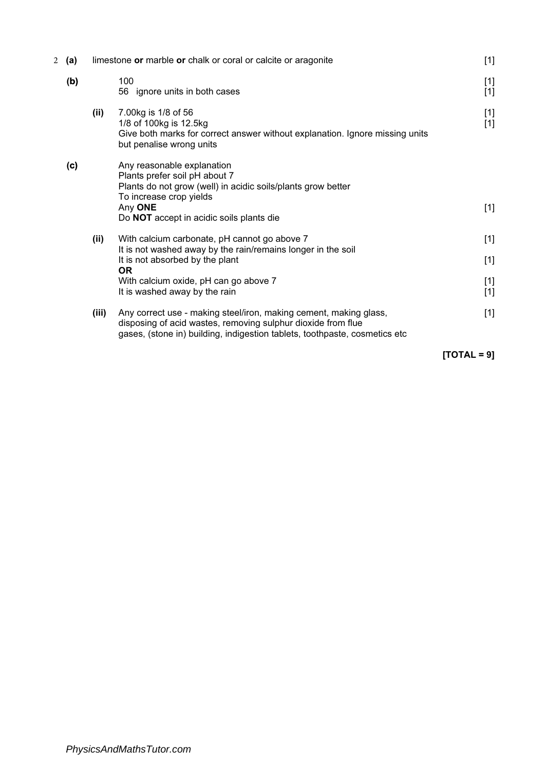| 2 | (a) |       | limestone or marble or chalk or coral or calcite or aragonite                                                                                                                                                   | $[1]$          |
|---|-----|-------|-----------------------------------------------------------------------------------------------------------------------------------------------------------------------------------------------------------------|----------------|
|   | (b) |       | 100<br>56 ignore units in both cases                                                                                                                                                                            | $[1]$<br>$[1]$ |
|   |     | (ii)  | 7.00kg is 1/8 of 56<br>1/8 of 100kg is 12.5kg<br>Give both marks for correct answer without explanation. Ignore missing units<br>but penalise wrong units                                                       | $[1]$<br>$[1]$ |
|   | (c) |       | Any reasonable explanation<br>Plants prefer soil pH about 7<br>Plants do not grow (well) in acidic soils/plants grow better<br>To increase crop yields                                                          |                |
|   |     |       | Any ONE<br>Do NOT accept in acidic soils plants die                                                                                                                                                             | $[1]$          |
|   |     | (ii)  | With calcium carbonate, pH cannot go above 7                                                                                                                                                                    | $[1]$          |
|   |     |       | It is not washed away by the rain/remains longer in the soil<br>It is not absorbed by the plant<br><b>OR</b>                                                                                                    | $[1]$          |
|   |     |       | With calcium oxide, pH can go above 7<br>It is washed away by the rain                                                                                                                                          | $[1]$<br>$[1]$ |
|   |     | (iii) | Any correct use - making steel/iron, making cement, making glass,<br>disposing of acid wastes, removing sulphur dioxide from flue<br>gases, (stone in) building, indigestion tablets, toothpaste, cosmetics etc | $[1]$          |
|   |     |       |                                                                                                                                                                                                                 |                |

 $[TOTAL = 9]$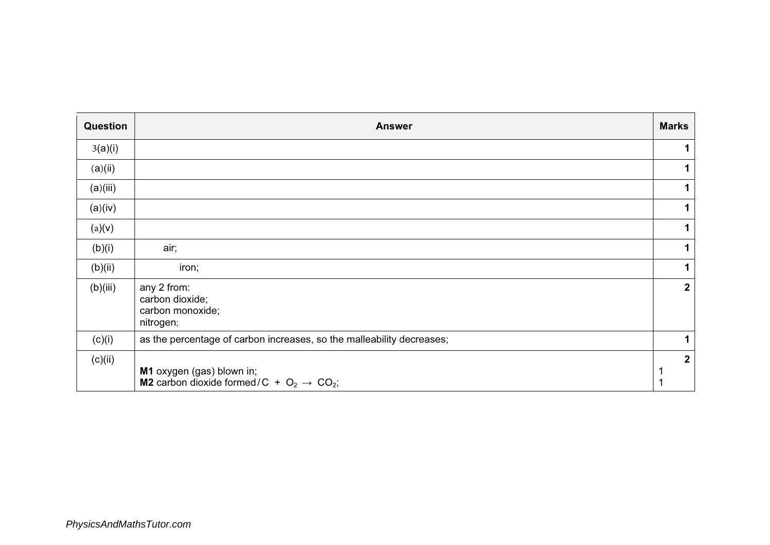| Question | <b>Answer</b>                                                                             | <b>Marks</b>   |
|----------|-------------------------------------------------------------------------------------------|----------------|
| 3(a)(i)  |                                                                                           |                |
| (a)(ii)  |                                                                                           |                |
| (a)(iii) |                                                                                           |                |
| (a)(iv)  |                                                                                           | $\mathbf 1$    |
| (a)(v)   |                                                                                           |                |
| (b)(i)   | air;                                                                                      |                |
| (b)(ii)  | iron;                                                                                     | 1              |
| (b)(iii) | any 2 from:<br>carbon dioxide;<br>carbon monoxide;<br>nitrogen;                           | $\mathbf{2}$   |
| (c)(i)   | as the percentage of carbon increases, so the malleability decreases;                     |                |
| (c)(ii)  | M1 oxygen (gas) blown in;<br><b>M2</b> carbon dioxide formed/C + $O_2 \rightarrow CO_2$ ; | $\overline{2}$ |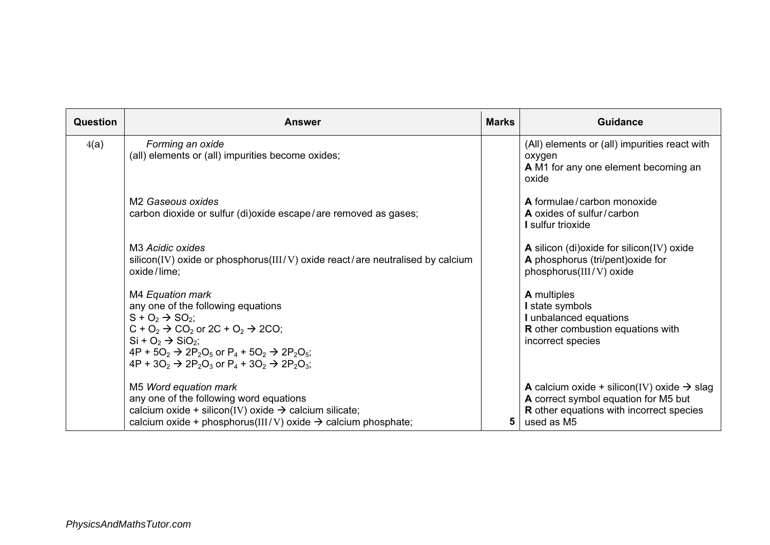| Question | <b>Answer</b>                                                                                                                                                                                                                                                                                                                         | <b>Marks</b> | <b>Guidance</b>                                                                                                                                                        |
|----------|---------------------------------------------------------------------------------------------------------------------------------------------------------------------------------------------------------------------------------------------------------------------------------------------------------------------------------------|--------------|------------------------------------------------------------------------------------------------------------------------------------------------------------------------|
| 4(a)     | Forming an oxide<br>(all) elements or (all) impurities become oxides;                                                                                                                                                                                                                                                                 |              | (All) elements or (all) impurities react with<br>oxygen<br>A M1 for any one element becoming an<br>oxide                                                               |
|          | M <sub>2</sub> Gaseous oxides<br>carbon dioxide or sulfur (di)oxide escape/are removed as gases;                                                                                                                                                                                                                                      |              | A formulae/carbon monoxide<br>A oxides of sulfur/carbon<br>I sulfur trioxide                                                                                           |
|          | M <sub>3</sub> Acidic oxides<br>silicon(IV) oxide or phosphorus(III/V) oxide react/are neutralised by calcium<br>oxide/lime;                                                                                                                                                                                                          |              | A silicon (di)oxide for silicon(IV) oxide<br>A phosphorus (tri/pent) oxide for<br>phosphorus(III/V) oxide                                                              |
|          | M4 Equation mark<br>any one of the following equations<br>$S + O_2 \rightarrow SO_2$ ;<br>$C + O_2 \rightarrow CO_2$ or 2C + $O_2 \rightarrow$ 2CO;<br>$Si + O2 \rightarrow SiO2$ ;<br>$4P + 5O_2 \rightarrow 2P_2O_5$ or $P_4 + 5O_2 \rightarrow 2P_2O_5$ ;<br>$4P + 3O_2 \rightarrow 2P_2O_3$ or $P_4 + 3O_2 \rightarrow 2P_2O_3$ ; |              | <b>A</b> multiples<br>I state symbols<br>I unbalanced equations<br>R other combustion equations with<br>incorrect species                                              |
|          | M5 Word equation mark<br>any one of the following word equations<br>calcium oxide + silicon(IV) oxide $\rightarrow$ calcium silicate;<br>calcium oxide + phosphorus(III/V) oxide $\rightarrow$ calcium phosphate;                                                                                                                     | 5            | <b>A</b> calcium oxide + silicon(IV) oxide $\rightarrow$ slag<br>A correct symbol equation for M5 but<br><b>R</b> other equations with incorrect species<br>used as M5 |